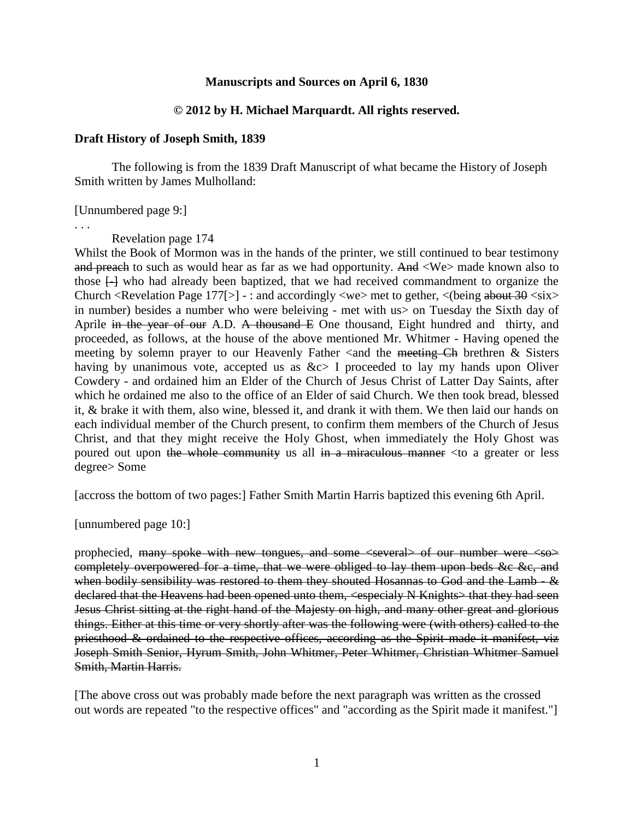# **Manuscripts and Sources on April 6, 1830**

### **© 2012 by H. Michael Marquardt. All rights reserved.**

#### **Draft History of Joseph Smith, 1839**

The following is from the 1839 Draft Manuscript of what became the History of Joseph Smith written by James Mulholland:

[Unnumbered page 9:]

. . .

Revelation page 174

Whilst the Book of Mormon was in the hands of the printer, we still continued to bear testimony and preach to such as would hear as far as we had opportunity. And  $\langle We \rangle$  made known also to those  $\Box$  who had already been baptized, that we had received commandment to organize the Church <Revelation Page 177[>] - : and accordingly <we >met to gether, < (being about  $30$  <six> in number) besides a number who were beleiving - met with us> on Tuesday the Sixth day of Aprile in the year of our A.D. A thousand E One thousand, Eight hundred and thirty, and proceeded, as follows, at the house of the above mentioned Mr. Whitmer - Having opened the meeting by solemn prayer to our Heavenly Father  $\alpha$  and the meeting Ch brethren & Sisters having by unanimous vote, accepted us as  $&c>1$  proceeded to lay my hands upon Oliver Cowdery - and ordained him an Elder of the Church of Jesus Christ of Latter Day Saints, after which he ordained me also to the office of an Elder of said Church. We then took bread, blessed it, & brake it with them, also wine, blessed it, and drank it with them. We then laid our hands on each individual member of the Church present, to confirm them members of the Church of Jesus Christ, and that they might receive the Holy Ghost, when immediately the Holy Ghost was poured out upon the whole community us all in a miraculous manner  $\lt$  to a greater or less degree> Some

[accross the bottom of two pages:] Father Smith Martin Harris baptized this evening 6th April.

[unnumbered page 10:]

prophecied, many spoke with new tongues, and some <several> of our number were <so> completely overpowered for a time, that we were obliged to lay them upon beds &c &c, and when bodily sensibility was restored to them they shouted Hosannas to God and the Lamb - & declared that the Heavens had been opened unto them, <especialy N Knights> that they had seen Jesus Christ sitting at the right hand of the Majesty on high, and many other great and glorious things. Either at this time or very shortly after was the following were (with others) called to the priesthood & ordained to the respective offices, according as the Spirit made it manifest, viz Joseph Smith Senior, Hyrum Smith, John Whitmer, Peter Whitmer, Christian Whitmer Samuel Smith, Martin Harris.

[The above cross out was probably made before the next paragraph was written as the crossed out words are repeated "to the respective offices" and "according as the Spirit made it manifest."]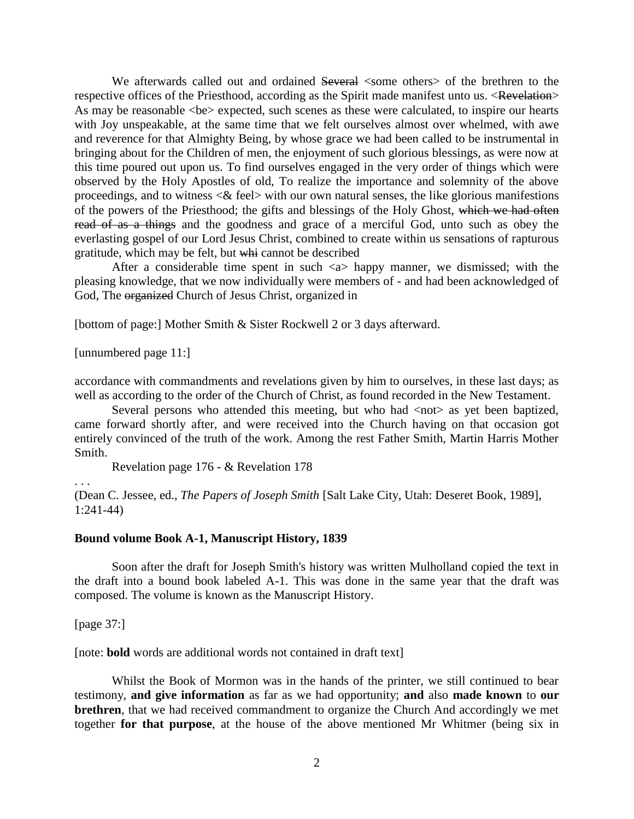We afterwards called out and ordained Several <some others> of the brethren to the respective offices of the Priesthood, according as the Spirit made manifest unto us. <Revelation> As may be reasonable  $\langle be \rangle$  expected, such scenes as these were calculated, to inspire our hearts with Joy unspeakable, at the same time that we felt ourselves almost over whelmed, with awe and reverence for that Almighty Being, by whose grace we had been called to be instrumental in bringing about for the Children of men, the enjoyment of such glorious blessings, as were now at this time poured out upon us. To find ourselves engaged in the very order of things which were observed by the Holy Apostles of old, To realize the importance and solemnity of the above proceedings, and to witness <& feel> with our own natural senses, the like glorious manifestions of the powers of the Priesthood; the gifts and blessings of the Holy Ghost, which we had often read of as a things and the goodness and grace of a merciful God, unto such as obey the everlasting gospel of our Lord Jesus Christ, combined to create within us sensations of rapturous gratitude, which may be felt, but whi cannot be described

After a considerable time spent in such <a> happy manner, we dismissed; with the pleasing knowledge, that we now individually were members of - and had been acknowledged of God, The organized Church of Jesus Christ, organized in

[bottom of page:] Mother Smith & Sister Rockwell 2 or 3 days afterward.

[unnumbered page 11:]

accordance with commandments and revelations given by him to ourselves, in these last days; as well as according to the order of the Church of Christ, as found recorded in the New Testament.

Several persons who attended this meeting, but who had  $\langle$ not $\rangle$  as yet been baptized, came forward shortly after, and were received into the Church having on that occasion got entirely convinced of the truth of the work. Among the rest Father Smith, Martin Harris Mother Smith.

Revelation page 176 - & Revelation 178

. . .

(Dean C. Jessee, ed., *The Papers of Joseph Smith* [Salt Lake City, Utah: Deseret Book, 1989], 1:241-44)

#### **Bound volume Book A-1, Manuscript History, 1839**

Soon after the draft for Joseph Smith's history was written Mulholland copied the text in the draft into a bound book labeled A-1. This was done in the same year that the draft was composed. The volume is known as the Manuscript History.

[page 37:]

[note: **bold** words are additional words not contained in draft text]

Whilst the Book of Mormon was in the hands of the printer, we still continued to bear testimony, **and give information** as far as we had opportunity; **and** also **made known** to **our brethren**, that we had received commandment to organize the Church And accordingly we met together **for that purpose**, at the house of the above mentioned Mr Whitmer (being six in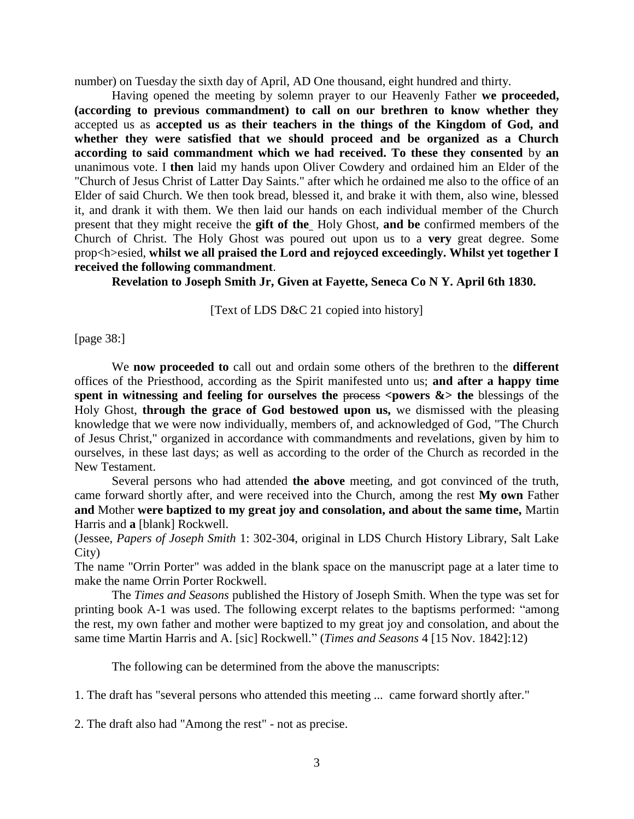number) on Tuesday the sixth day of April, AD One thousand, eight hundred and thirty.

Having opened the meeting by solemn prayer to our Heavenly Father **we proceeded, (according to previous commandment) to call on our brethren to know whether they** accepted us as **accepted us as their teachers in the things of the Kingdom of God, and whether they were satisfied that we should proceed and be organized as a Church according to said commandment which we had received. To these they consented** by **an**  unanimous vote. I **then** laid my hands upon Oliver Cowdery and ordained him an Elder of the "Church of Jesus Christ of Latter Day Saints." after which he ordained me also to the office of an Elder of said Church. We then took bread, blessed it, and brake it with them, also wine, blessed it, and drank it with them. We then laid our hands on each individual member of the Church present that they might receive the **gift of the** Holy Ghost, **and be** confirmed members of the Church of Christ. The Holy Ghost was poured out upon us to a **very** great degree. Some prop<h>esied, **whilst we all praised the Lord and rejoyced exceedingly. Whilst yet together I received the following commandment**.

**Revelation to Joseph Smith Jr, Given at Fayette, Seneca Co N Y. April 6th 1830.**

[Text of LDS D&C 21 copied into history]

[page 38:]

We **now proceeded to** call out and ordain some others of the brethren to the **different** offices of the Priesthood, according as the Spirit manifested unto us; **and after a happy time**  spent in witnessing and feeling for ourselves the process  $\langle$  powers  $\&$  the blessings of the Holy Ghost, **through the grace of God bestowed upon us,** we dismissed with the pleasing knowledge that we were now individually, members of, and acknowledged of God, "The Church of Jesus Christ," organized in accordance with commandments and revelations, given by him to ourselves, in these last days; as well as according to the order of the Church as recorded in the New Testament.

Several persons who had attended **the above** meeting, and got convinced of the truth, came forward shortly after, and were received into the Church, among the rest **My own** Father **and** Mother **were baptized to my great joy and consolation, and about the same time,** Martin Harris and **a** [blank] Rockwell.

(Jessee, *Papers of Joseph Smith* 1: 302-304, original in LDS Church History Library, Salt Lake City)

The name "Orrin Porter" was added in the blank space on the manuscript page at a later time to make the name Orrin Porter Rockwell.

The *Times and Seasons* published the History of Joseph Smith. When the type was set for printing book A-1 was used. The following excerpt relates to the baptisms performed: "among the rest, my own father and mother were baptized to my great joy and consolation, and about the same time Martin Harris and A. [sic] Rockwell." (*Times and Seasons* 4 [15 Nov. 1842]:12)

The following can be determined from the above the manuscripts:

1. The draft has "several persons who attended this meeting ... came forward shortly after."

2. The draft also had "Among the rest" - not as precise.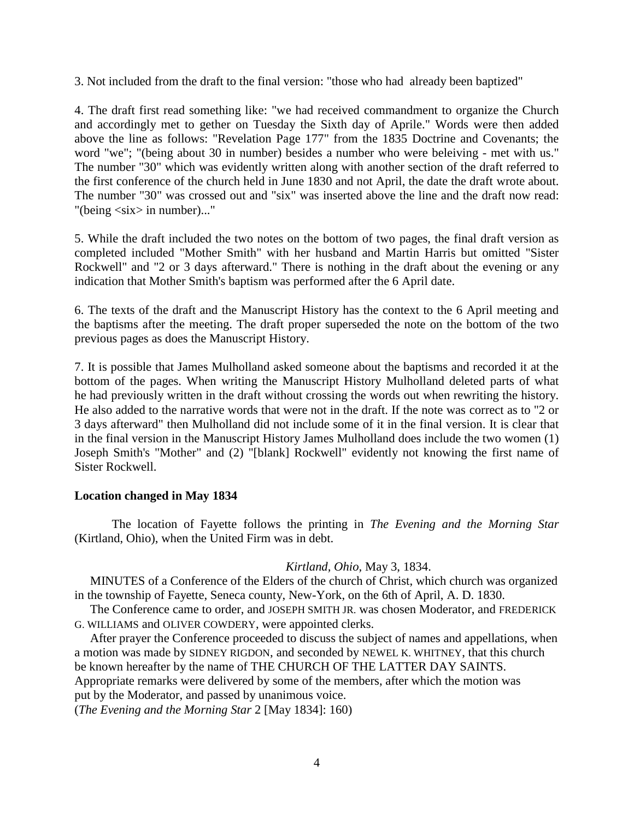3. Not included from the draft to the final version: "those who had already been baptized"

4. The draft first read something like: "we had received commandment to organize the Church and accordingly met to gether on Tuesday the Sixth day of Aprile." Words were then added above the line as follows: "Revelation Page 177" from the 1835 Doctrine and Covenants; the word "we"; "(being about 30 in number) besides a number who were beleiving - met with us." The number "30" which was evidently written along with another section of the draft referred to the first conference of the church held in June 1830 and not April, the date the draft wrote about. The number "30" was crossed out and "six" was inserted above the line and the draft now read: "(being <six> in number)..."

5. While the draft included the two notes on the bottom of two pages, the final draft version as completed included "Mother Smith" with her husband and Martin Harris but omitted "Sister Rockwell" and "2 or 3 days afterward." There is nothing in the draft about the evening or any indication that Mother Smith's baptism was performed after the 6 April date.

6. The texts of the draft and the Manuscript History has the context to the 6 April meeting and the baptisms after the meeting. The draft proper superseded the note on the bottom of the two previous pages as does the Manuscript History.

7. It is possible that James Mulholland asked someone about the baptisms and recorded it at the bottom of the pages. When writing the Manuscript History Mulholland deleted parts of what he had previously written in the draft without crossing the words out when rewriting the history. He also added to the narrative words that were not in the draft. If the note was correct as to "2 or 3 days afterward" then Mulholland did not include some of it in the final version. It is clear that in the final version in the Manuscript History James Mulholland does include the two women (1) Joseph Smith's "Mother" and (2) "[blank] Rockwell" evidently not knowing the first name of Sister Rockwell.

# **Location changed in May 1834**

The location of Fayette follows the printing in *The Evening and the Morning Star* (Kirtland, Ohio), when the United Firm was in debt.

# *Kirtland, Ohio,* May 3, 1834.

 MINUTES of a Conference of the Elders of the church of Christ, which church was organized in the township of Fayette, Seneca county, New-York, on the 6th of April, A. D. 1830.

 The Conference came to order, and JOSEPH SMITH JR. was chosen Moderator, and FREDERICK G. WILLIAMS and OLIVER COWDERY, were appointed clerks.

 After prayer the Conference proceeded to discuss the subject of names and appellations, when a motion was made by SIDNEY RIGDON, and seconded by NEWEL K. WHITNEY, that this church be known hereafter by the name of THE CHURCH OF THE LATTER DAY SAINTS. Appropriate remarks were delivered by some of the members, after which the motion was put by the Moderator, and passed by unanimous voice. (*The Evening and the Morning Star* 2 [May 1834]: 160)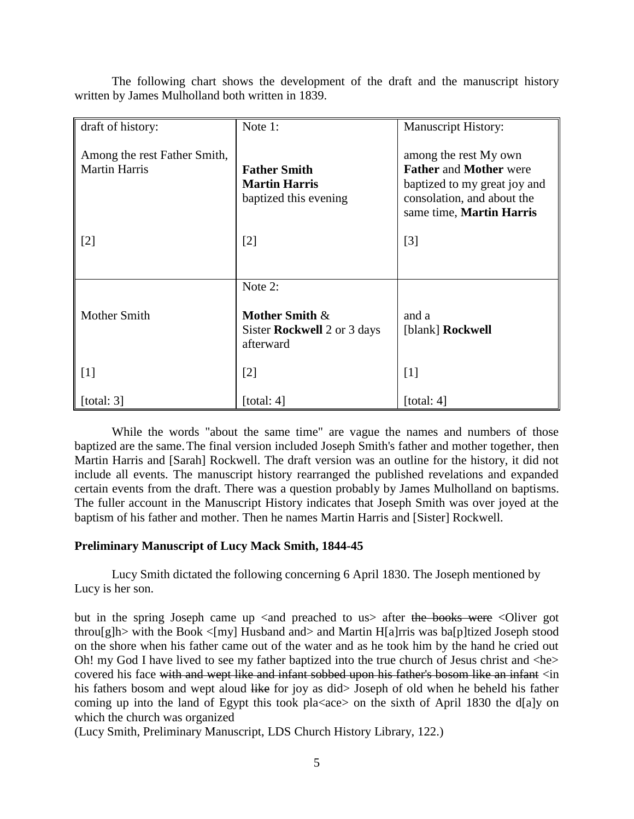| draft of history:                                    | Note 1:                                                                         | <b>Manuscript History:</b>                                                                                                                       |
|------------------------------------------------------|---------------------------------------------------------------------------------|--------------------------------------------------------------------------------------------------------------------------------------------------|
| Among the rest Father Smith,<br><b>Martin Harris</b> | <b>Father Smith</b><br><b>Martin Harris</b><br>baptized this evening            | among the rest My own<br><b>Father and Mother were</b><br>baptized to my great joy and<br>consolation, and about the<br>same time, Martin Harris |
| $[2]$                                                | $[2]$                                                                           | $[3]$                                                                                                                                            |
|                                                      |                                                                                 |                                                                                                                                                  |
| Mother Smith                                         | Note 2:<br>Mother Smith $\&$<br>Sister <b>Rockwell</b> 2 or 3 days<br>afterward | and a<br>[blank] Rockwell                                                                                                                        |
| $\lfloor 1 \rfloor$                                  | [2]                                                                             | $[1]$                                                                                                                                            |
| $\lceil$ [total: 3]                                  | [total: $4$ ]                                                                   | [total: $4$ ]                                                                                                                                    |

The following chart shows the development of the draft and the manuscript history written by James Mulholland both written in 1839.

While the words "about the same time" are vague the names and numbers of those baptized are the same.The final version included Joseph Smith's father and mother together, then Martin Harris and [Sarah] Rockwell. The draft version was an outline for the history, it did not include all events. The manuscript history rearranged the published revelations and expanded certain events from the draft. There was a question probably by James Mulholland on baptisms. The fuller account in the Manuscript History indicates that Joseph Smith was over joyed at the baptism of his father and mother. Then he names Martin Harris and [Sister] Rockwell.

# **Preliminary Manuscript of Lucy Mack Smith, 1844-45**

Lucy Smith dictated the following concerning 6 April 1830. The Joseph mentioned by Lucy is her son.

but in the spring Joseph came up  $\leq$  and preached to us after the books were  $\leq$ Oliver got throu[g]h> with the Book  $\langle$ [my] Husband and> and Martin H[a]rris was ba[p]tized Joseph stood on the shore when his father came out of the water and as he took him by the hand he cried out Oh! my God I have lived to see my father baptized into the true church of Jesus christ and <he> covered his face with and wept like and infant sobbed upon his father's bosom like an infant <in his fathers bosom and wept aloud like for joy as did> Joseph of old when he beheld his father coming up into the land of Egypt this took pla $\langle$ ace $\rangle$  on the sixth of April 1830 the d[a]y on which the church was organized

(Lucy Smith, Preliminary Manuscript, LDS Church History Library, 122.)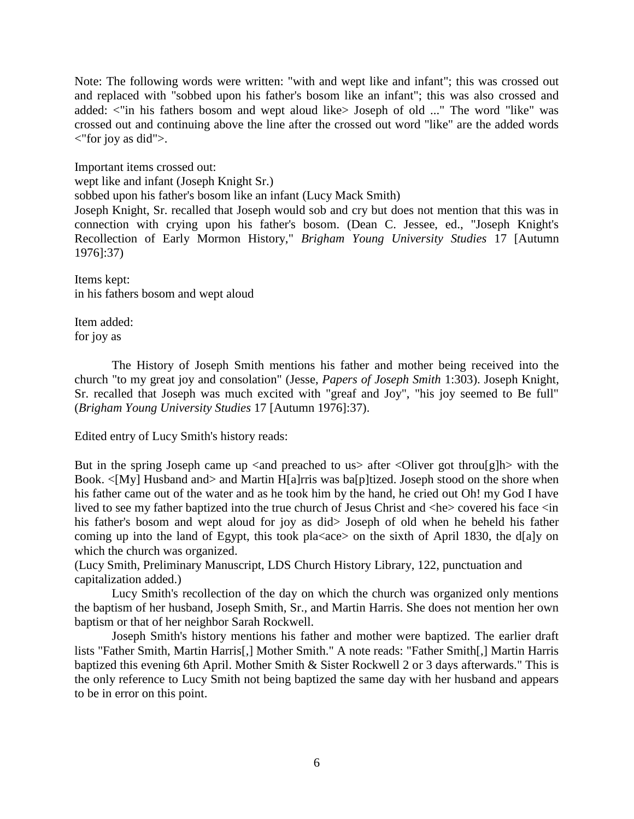Note: The following words were written: "with and wept like and infant"; this was crossed out and replaced with "sobbed upon his father's bosom like an infant"; this was also crossed and added: <"in his fathers bosom and wept aloud like> Joseph of old ..." The word "like" was crossed out and continuing above the line after the crossed out word "like" are the added words <"for joy as did">.

Important items crossed out:

wept like and infant (Joseph Knight Sr.)

sobbed upon his father's bosom like an infant (Lucy Mack Smith)

Joseph Knight, Sr. recalled that Joseph would sob and cry but does not mention that this was in connection with crying upon his father's bosom. (Dean C. Jessee, ed., "Joseph Knight's Recollection of Early Mormon History," *Brigham Young University Studies* 17 [Autumn 1976]:37)

Items kept: in his fathers bosom and wept aloud

Item added: for joy as

The History of Joseph Smith mentions his father and mother being received into the church "to my great joy and consolation" (Jesse, *Papers of Joseph Smith* 1:303). Joseph Knight, Sr. recalled that Joseph was much excited with "greaf and Joy", "his joy seemed to Be full" (*Brigham Young University Studies* 17 [Autumn 1976]:37).

Edited entry of Lucy Smith's history reads:

But in the spring Joseph came up  $\langle$  and preached to us $>$  after  $\langle$ Oliver got throu[g]h $>$  with the Book. <[My] Husband and> and Martin H[a]rris was ba[p]tized. Joseph stood on the shore when his father came out of the water and as he took him by the hand, he cried out Oh! my God I have lived to see my father baptized into the true church of Jesus Christ and  $\langle he \rangle$  covered his face  $\langle in$ his father's bosom and wept aloud for joy as did> Joseph of old when he beheld his father coming up into the land of Egypt, this took pla $\langle$ ace $\rangle$  on the sixth of April 1830, the d[a]y on which the church was organized.

(Lucy Smith, Preliminary Manuscript, LDS Church History Library, 122, punctuation and capitalization added.)

Lucy Smith's recollection of the day on which the church was organized only mentions the baptism of her husband, Joseph Smith, Sr., and Martin Harris. She does not mention her own baptism or that of her neighbor Sarah Rockwell.

Joseph Smith's history mentions his father and mother were baptized. The earlier draft lists "Father Smith, Martin Harris[,] Mother Smith." A note reads: "Father Smith[,] Martin Harris baptized this evening 6th April. Mother Smith & Sister Rockwell 2 or 3 days afterwards." This is the only reference to Lucy Smith not being baptized the same day with her husband and appears to be in error on this point.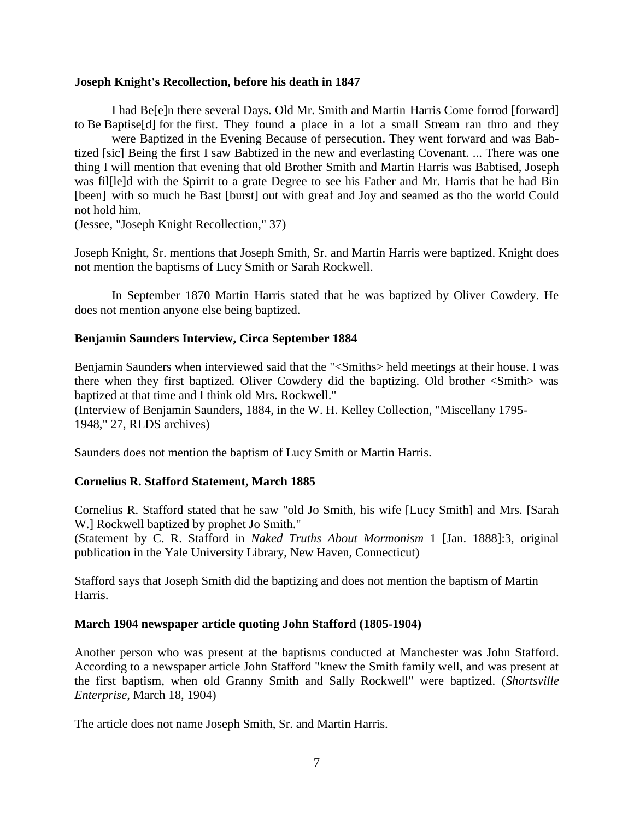# **Joseph Knight's Recollection, before his death in 1847**

I had Be[e]n there several Days. Old Mr. Smith and Martin Harris Come forrod [forward] to Be Baptise[d] for the first. They found a place in a lot a small Stream ran thro and they

were Baptized in the Evening Because of persecution. They went forward and was Babtized [sic] Being the first I saw Babtized in the new and everlasting Covenant. ... There was one thing I will mention that evening that old Brother Smith and Martin Harris was Babtised, Joseph was fil[le]d with the Spirrit to a grate Degree to see his Father and Mr. Harris that he had Bin [been] with so much he Bast [burst] out with greaf and Joy and seamed as tho the world Could not hold him.

(Jessee, "Joseph Knight Recollection," 37)

Joseph Knight, Sr. mentions that Joseph Smith, Sr. and Martin Harris were baptized. Knight does not mention the baptisms of Lucy Smith or Sarah Rockwell.

In September 1870 Martin Harris stated that he was baptized by Oliver Cowdery. He does not mention anyone else being baptized.

# **Benjamin Saunders Interview, Circa September 1884**

Benjamin Saunders when interviewed said that the "<Smiths> held meetings at their house. I was there when they first baptized. Oliver Cowdery did the baptizing. Old brother <Smith> was baptized at that time and I think old Mrs. Rockwell."

(Interview of Benjamin Saunders, 1884, in the W. H. Kelley Collection, "Miscellany 1795- 1948," 27, RLDS archives)

Saunders does not mention the baptism of Lucy Smith or Martin Harris.

# **Cornelius R. Stafford Statement, March 1885**

Cornelius R. Stafford stated that he saw "old Jo Smith, his wife [Lucy Smith] and Mrs. [Sarah W.] Rockwell baptized by prophet Jo Smith."

(Statement by C. R. Stafford in *Naked Truths About Mormonism* 1 [Jan. 1888]:3, original publication in the Yale University Library, New Haven, Connecticut)

Stafford says that Joseph Smith did the baptizing and does not mention the baptism of Martin Harris.

# **March 1904 newspaper article quoting John Stafford (1805-1904)**

Another person who was present at the baptisms conducted at Manchester was John Stafford. According to a newspaper article John Stafford "knew the Smith family well, and was present at the first baptism, when old Granny Smith and Sally Rockwell" were baptized. (*Shortsville Enterprise*, March 18, 1904)

The article does not name Joseph Smith, Sr. and Martin Harris.